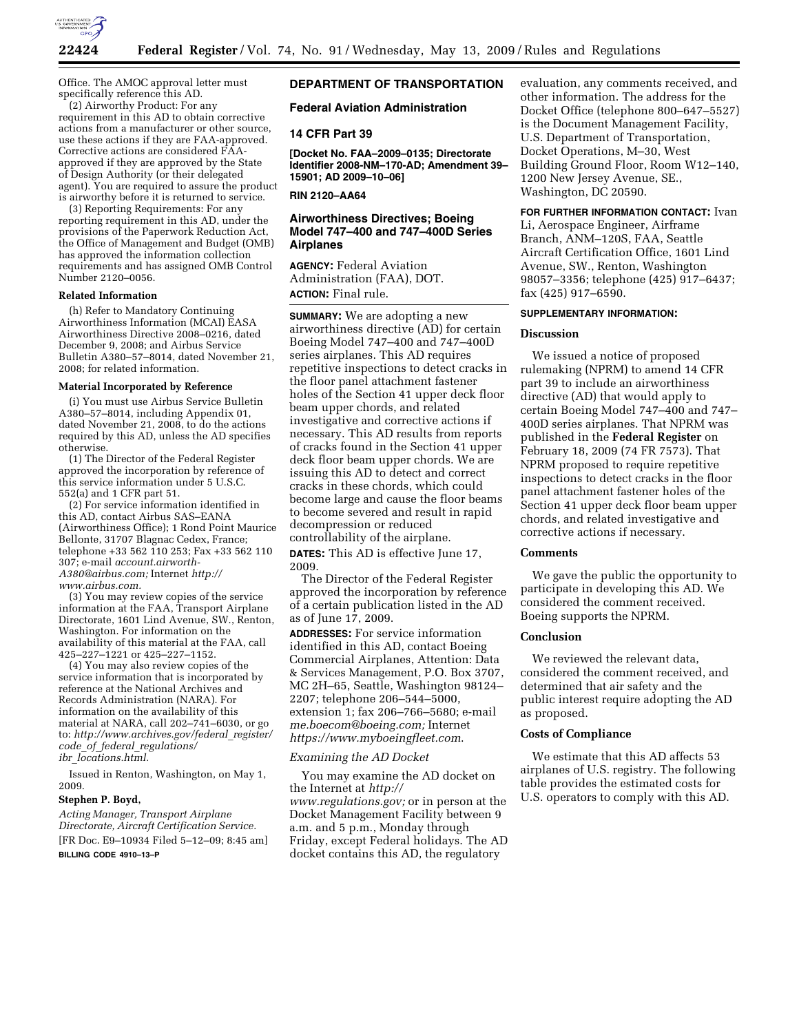

Office. The AMOC approval letter must specifically reference this AD.

(2) Airworthy Product: For any requirement in this AD to obtain corrective actions from a manufacturer or other source, use these actions if they are FAA-approved. Corrective actions are considered FAAapproved if they are approved by the State of Design Authority (or their delegated agent). You are required to assure the product is airworthy before it is returned to service.

(3) Reporting Requirements: For any reporting requirement in this AD, under the provisions of the Paperwork Reduction Act, the Office of Management and Budget (OMB) has approved the information collection requirements and has assigned OMB Control Number 2120–0056.

#### **Related Information**

(h) Refer to Mandatory Continuing Airworthiness Information (MCAI) EASA Airworthiness Directive 2008–0216, dated December 9, 2008; and Airbus Service Bulletin A380–57–8014, dated November 21, 2008; for related information.

#### **Material Incorporated by Reference**

(i) You must use Airbus Service Bulletin A380–57–8014, including Appendix 01, dated November 21, 2008, to do the actions required by this AD, unless the AD specifies otherwise.

(1) The Director of the Federal Register approved the incorporation by reference of this service information under 5 U.S.C. 552(a) and 1 CFR part 51.

(2) For service information identified in this AD, contact Airbus SAS–EANA (Airworthiness Office); 1 Rond Point Maurice Bellonte, 31707 Blagnac Cedex, France; telephone +33 562 110 253; Fax +33 562 110 307; e-mail *account.airworth-A380@airbus.com;* Internet *http:// www.airbus.com.* 

(3) You may review copies of the service information at the FAA, Transport Airplane Directorate, 1601 Lind Avenue, SW., Renton, Washington. For information on the availability of this material at the FAA, call 425–227–1221 or 425–227–1152.

(4) You may also review copies of the service information that is incorporated by reference at the National Archives and Records Administration (NARA). For information on the availability of this material at NARA, call 202–741–6030, or go to: *http://www.archives.gov/federal*\_*register/ code*\_*of*\_*federal*\_*regulations/ ibr*\_*locations.html.* 

Issued in Renton, Washington, on May 1, 2009.

#### **Stephen P. Boyd,**

*Acting Manager, Transport Airplane Directorate, Aircraft Certification Service.*  [FR Doc. E9–10934 Filed 5–12–09; 8:45 am]

**BILLING CODE 4910–13–P** 

# **DEPARTMENT OF TRANSPORTATION**

### **Federal Aviation Administration**

### **14 CFR Part 39**

**[Docket No. FAA–2009–0135; Directorate Identifier 2008-NM–170-AD; Amendment 39– 15901; AD 2009–10–06]** 

**RIN 2120–AA64** 

## **Airworthiness Directives; Boeing Model 747–400 and 747–400D Series Airplanes**

**AGENCY:** Federal Aviation Administration (FAA), DOT. **ACTION:** Final rule.

**SUMMARY:** We are adopting a new airworthiness directive (AD) for certain Boeing Model 747–400 and 747–400D series airplanes. This AD requires repetitive inspections to detect cracks in the floor panel attachment fastener holes of the Section 41 upper deck floor beam upper chords, and related investigative and corrective actions if necessary. This AD results from reports of cracks found in the Section 41 upper deck floor beam upper chords. We are issuing this AD to detect and correct cracks in these chords, which could become large and cause the floor beams to become severed and result in rapid decompression or reduced

controllability of the airplane.

**DATES:** This AD is effective June 17, 2009.

The Director of the Federal Register approved the incorporation by reference of a certain publication listed in the AD as of June 17, 2009.

**ADDRESSES:** For service information identified in this AD, contact Boeing Commercial Airplanes, Attention: Data & Services Management, P.O. Box 3707, MC 2H–65, Seattle, Washington 98124– 2207; telephone 206–544–5000, extension 1; fax 206–766–5680; e-mail *me.boecom@boeing.com;* Internet *https://www.myboeingfleet.com*.

### *Examining the AD Docket*

You may examine the AD docket on the Internet at *http:// www.regulations.gov;* or in person at the Docket Management Facility between 9 a.m. and 5 p.m., Monday through Friday, except Federal holidays. The AD docket contains this AD, the regulatory

evaluation, any comments received, and other information. The address for the Docket Office (telephone 800–647–5527) is the Document Management Facility, U.S. Department of Transportation, Docket Operations, M–30, West Building Ground Floor, Room W12–140, 1200 New Jersey Avenue, SE., Washington, DC 20590.

**FOR FURTHER INFORMATION CONTACT:** Ivan Li, Aerospace Engineer, Airframe Branch, ANM–120S, FAA, Seattle Aircraft Certification Office, 1601 Lind Avenue, SW., Renton, Washington 98057–3356; telephone (425) 917–6437; fax (425) 917–6590.

#### **SUPPLEMENTARY INFORMATION:**

### **Discussion**

We issued a notice of proposed rulemaking (NPRM) to amend 14 CFR part 39 to include an airworthiness directive (AD) that would apply to certain Boeing Model 747–400 and 747– 400D series airplanes. That NPRM was published in the **Federal Register** on February 18, 2009 (74 FR 7573). That NPRM proposed to require repetitive inspections to detect cracks in the floor panel attachment fastener holes of the Section 41 upper deck floor beam upper chords, and related investigative and corrective actions if necessary.

### **Comments**

We gave the public the opportunity to participate in developing this AD. We considered the comment received. Boeing supports the NPRM.

## **Conclusion**

We reviewed the relevant data, considered the comment received, and determined that air safety and the public interest require adopting the AD as proposed.

## **Costs of Compliance**

We estimate that this AD affects 53 airplanes of U.S. registry. The following table provides the estimated costs for U.S. operators to comply with this AD.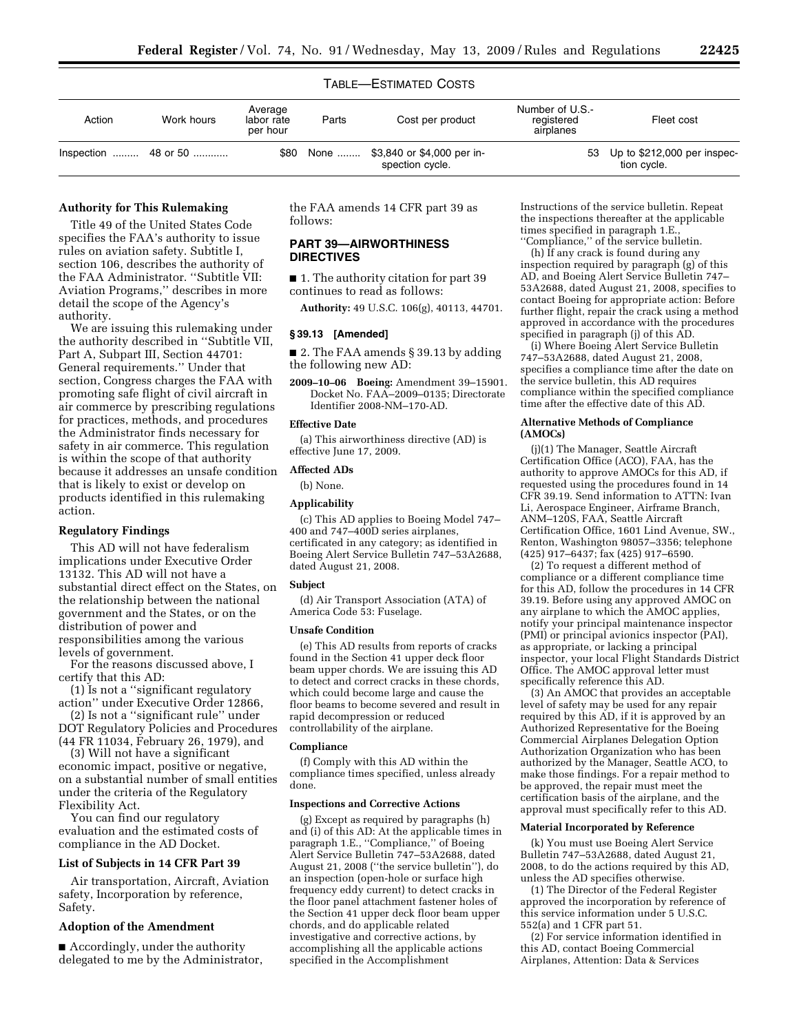# TABLE—ESTIMATED COSTS

| Action | Work hours | Average<br>labor rate<br>per hour | Parts | Cost per product                                    | Number of U.S.-<br>registered<br>airplanes | Fleet cost                                 |
|--------|------------|-----------------------------------|-------|-----------------------------------------------------|--------------------------------------------|--------------------------------------------|
|        |            | \$80                              |       | None  \$3,840 or \$4,000 per in-<br>spection cycle. | 53                                         | Up to \$212,000 per inspec-<br>tion cycle. |

# **Authority for This Rulemaking**

Title 49 of the United States Code specifies the FAA's authority to issue rules on aviation safety. Subtitle I, section 106, describes the authority of the FAA Administrator. ''Subtitle VII: Aviation Programs,'' describes in more detail the scope of the Agency's authority.

We are issuing this rulemaking under the authority described in ''Subtitle VII, Part A, Subpart III, Section 44701: General requirements.'' Under that section, Congress charges the FAA with promoting safe flight of civil aircraft in air commerce by prescribing regulations for practices, methods, and procedures the Administrator finds necessary for safety in air commerce. This regulation is within the scope of that authority because it addresses an unsafe condition that is likely to exist or develop on products identified in this rulemaking action.

## **Regulatory Findings**

This AD will not have federalism implications under Executive Order 13132. This AD will not have a substantial direct effect on the States, on the relationship between the national government and the States, or on the distribution of power and responsibilities among the various levels of government.

For the reasons discussed above, I certify that this AD:

(1) Is not a ''significant regulatory action'' under Executive Order 12866,

(2) Is not a ''significant rule'' under DOT Regulatory Policies and Procedures (44 FR 11034, February 26, 1979), and

(3) Will not have a significant economic impact, positive or negative, on a substantial number of small entities under the criteria of the Regulatory Flexibility Act.

You can find our regulatory evaluation and the estimated costs of compliance in the AD Docket.

#### **List of Subjects in 14 CFR Part 39**

Air transportation, Aircraft, Aviation safety, Incorporation by reference, Safety.

### **Adoption of the Amendment**

■ Accordingly, under the authority delegated to me by the Administrator, the FAA amends 14 CFR part 39 as follows:

# **PART 39—AIRWORTHINESS DIRECTIVES**

■ 1. The authority citation for part 39 continues to read as follows:

**Authority:** 49 U.S.C. 106(g), 40113, 44701.

#### **§ 39.13 [Amended]**

■ 2. The FAA amends § 39.13 by adding the following new AD:

**2009–10–06 Boeing:** Amendment 39–15901. Docket No. FAA–2009–0135; Directorate Identifier 2008-NM–170-AD.

## **Effective Date**

(a) This airworthiness directive (AD) is effective June 17, 2009.

### **Affected ADs**

(b) None.

### **Applicability**

(c) This AD applies to Boeing Model 747– 400 and 747–400D series airplanes, certificated in any category; as identified in Boeing Alert Service Bulletin 747–53A2688, dated August 21, 2008.

#### **Subject**

(d) Air Transport Association (ATA) of America Code 53: Fuselage.

#### **Unsafe Condition**

(e) This AD results from reports of cracks found in the Section 41 upper deck floor beam upper chords. We are issuing this AD to detect and correct cracks in these chords, which could become large and cause the floor beams to become severed and result in rapid decompression or reduced controllability of the airplane.

#### **Compliance**

(f) Comply with this AD within the compliance times specified, unless already done.

#### **Inspections and Corrective Actions**

(g) Except as required by paragraphs (h) and (i) of this AD: At the applicable times in paragraph 1.E., ''Compliance,'' of Boeing Alert Service Bulletin 747–53A2688, dated August 21, 2008 (''the service bulletin''), do an inspection (open-hole or surface high frequency eddy current) to detect cracks in the floor panel attachment fastener holes of the Section 41 upper deck floor beam upper chords, and do applicable related investigative and corrective actions, by accomplishing all the applicable actions specified in the Accomplishment

Instructions of the service bulletin. Repeat the inspections thereafter at the applicable times specified in paragraph 1.E., ''Compliance,'' of the service bulletin.

(h) If any crack is found during any inspection required by paragraph (g) of this AD, and Boeing Alert Service Bulletin 747– 53A2688, dated August 21, 2008, specifies to contact Boeing for appropriate action: Before further flight, repair the crack using a method approved in accordance with the procedures specified in paragraph (j) of this AD.

(i) Where Boeing Alert Service Bulletin 747–53A2688, dated August 21, 2008, specifies a compliance time after the date on the service bulletin, this AD requires compliance within the specified compliance time after the effective date of this AD.

#### **Alternative Methods of Compliance (AMOCs)**

(j)(1) The Manager, Seattle Aircraft Certification Office (ACO), FAA, has the authority to approve AMOCs for this AD, if requested using the procedures found in 14 CFR 39.19. Send information to ATTN: Ivan Li, Aerospace Engineer, Airframe Branch, ANM–120S, FAA, Seattle Aircraft Certification Office, 1601 Lind Avenue, SW., Renton, Washington 98057–3356; telephone (425) 917–6437; fax (425) 917–6590.

(2) To request a different method of compliance or a different compliance time for this AD, follow the procedures in 14 CFR 39.19. Before using any approved AMOC on any airplane to which the AMOC applies, notify your principal maintenance inspector (PMI) or principal avionics inspector (PAI), as appropriate, or lacking a principal inspector, your local Flight Standards District Office. The AMOC approval letter must specifically reference this AD.

(3) An AMOC that provides an acceptable level of safety may be used for any repair required by this AD, if it is approved by an Authorized Representative for the Boeing Commercial Airplanes Delegation Option Authorization Organization who has been authorized by the Manager, Seattle ACO, to make those findings. For a repair method to be approved, the repair must meet the certification basis of the airplane, and the approval must specifically refer to this AD.

### **Material Incorporated by Reference**

(k) You must use Boeing Alert Service Bulletin 747–53A2688, dated August 21, 2008, to do the actions required by this AD, unless the AD specifies otherwise.

(1) The Director of the Federal Register approved the incorporation by reference of this service information under 5 U.S.C. 552(a) and 1 CFR part 51.

(2) For service information identified in this AD, contact Boeing Commercial Airplanes, Attention: Data & Services